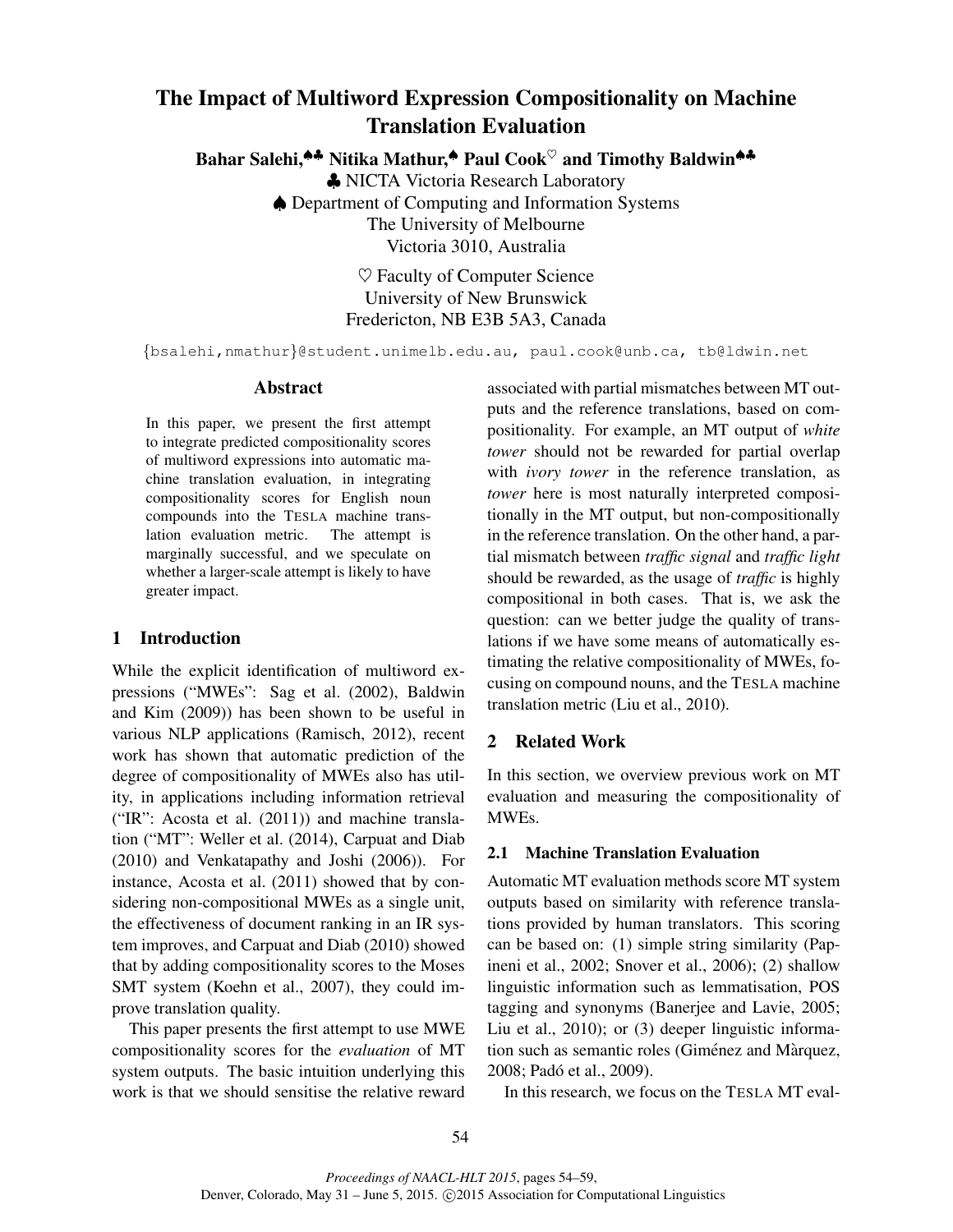# The Impact of Multiword Expression Compositionality on Machine Translation Evaluation

Bahar Salehi,<sup>▲▲</sup> Nitika Mathur,<sup>▲</sup> Paul Cook<sup>♡</sup> and Timothy Baldwin<sup>▲▲</sup>

♣ NICTA Victoria Research Laboratory ♠ Department of Computing and Information Systems The University of Melbourne Victoria 3010, Australia

> $\heartsuit$  Faculty of Computer Science University of New Brunswick Fredericton, NB E3B 5A3, Canada

{bsalehi,nmathur}@student.unimelb.edu.au, paul.cook@unb.ca, tb@ldwin.net

#### Abstract

In this paper, we present the first attempt to integrate predicted compositionality scores of multiword expressions into automatic machine translation evaluation, in integrating compositionality scores for English noun compounds into the TESLA machine translation evaluation metric. The attempt is marginally successful, and we speculate on whether a larger-scale attempt is likely to have greater impact.

# 1 Introduction

While the explicit identification of multiword expressions ("MWEs": Sag et al. (2002), Baldwin and Kim (2009)) has been shown to be useful in various NLP applications (Ramisch, 2012), recent work has shown that automatic prediction of the degree of compositionality of MWEs also has utility, in applications including information retrieval ("IR": Acosta et al. (2011)) and machine translation ("MT": Weller et al. (2014), Carpuat and Diab (2010) and Venkatapathy and Joshi (2006)). For instance, Acosta et al. (2011) showed that by considering non-compositional MWEs as a single unit, the effectiveness of document ranking in an IR system improves, and Carpuat and Diab (2010) showed that by adding compositionality scores to the Moses SMT system (Koehn et al., 2007), they could improve translation quality.

This paper presents the first attempt to use MWE compositionality scores for the *evaluation* of MT system outputs. The basic intuition underlying this work is that we should sensitise the relative reward associated with partial mismatches between MT outputs and the reference translations, based on compositionality. For example, an MT output of *white tower* should not be rewarded for partial overlap with *ivory tower* in the reference translation, as *tower* here is most naturally interpreted compositionally in the MT output, but non-compositionally in the reference translation. On the other hand, a partial mismatch between *traffic signal* and *traffic light* should be rewarded, as the usage of *traffic* is highly compositional in both cases. That is, we ask the question: can we better judge the quality of translations if we have some means of automatically estimating the relative compositionality of MWEs, focusing on compound nouns, and the TESLA machine translation metric (Liu et al., 2010).

# 2 Related Work

In this section, we overview previous work on MT evaluation and measuring the compositionality of MWEs.

#### 2.1 Machine Translation Evaluation

Automatic MT evaluation methods score MT system outputs based on similarity with reference translations provided by human translators. This scoring can be based on: (1) simple string similarity (Papineni et al., 2002; Snover et al., 2006); (2) shallow linguistic information such as lemmatisation, POS tagging and synonyms (Banerjee and Lavie, 2005; Liu et al., 2010); or (3) deeper linguistic information such as semantic roles (Giménez and Màrquez, 2008; Pado et al., 2009). ´

In this research, we focus on the TESLA MT eval-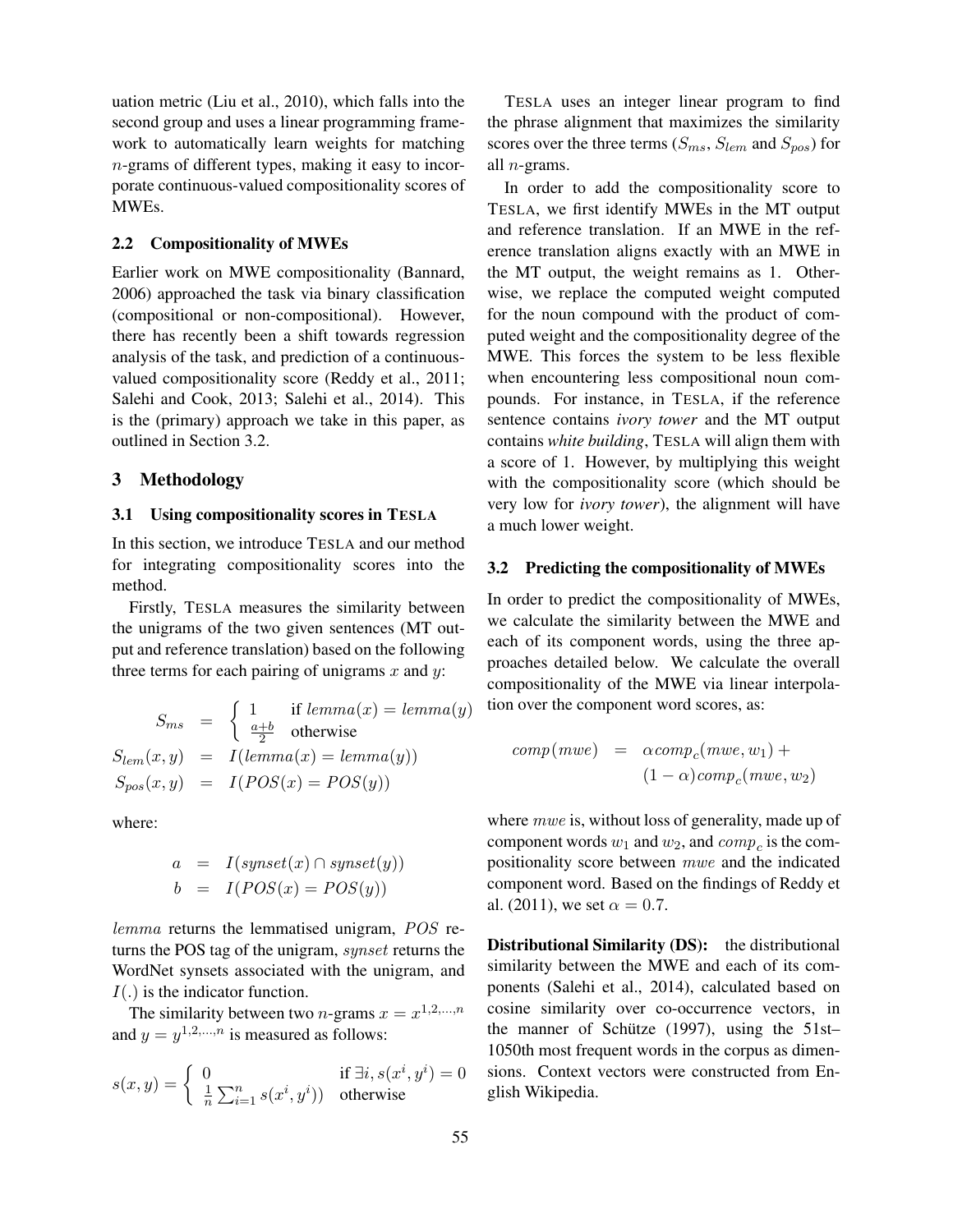uation metric (Liu et al., 2010), which falls into the second group and uses a linear programming framework to automatically learn weights for matching n-grams of different types, making it easy to incorporate continuous-valued compositionality scores of MWEs.

#### 2.2 Compositionality of MWEs

Earlier work on MWE compositionality (Bannard, 2006) approached the task via binary classification (compositional or non-compositional). However, there has recently been a shift towards regression analysis of the task, and prediction of a continuousvalued compositionality score (Reddy et al., 2011; Salehi and Cook, 2013; Salehi et al., 2014). This is the (primary) approach we take in this paper, as outlined in Section 3.2.

## 3 Methodology

## 3.1 Using compositionality scores in TESLA

In this section, we introduce TESLA and our method for integrating compositionality scores into the method.

Firstly, TESLA measures the similarity between the unigrams of the two given sentences (MT output and reference translation) based on the following three terms for each pairing of unigrams  $x$  and  $y$ :

$$
S_{ms} = \begin{cases} 1 & \text{if lemma}(x) = lemma(y) \\ \frac{a+b}{2} & \text{otherwise} \end{cases}
$$
  

$$
S_{lem}(x, y) = I(lemma(x) = lemma(y))
$$
  

$$
S_{pos}(x, y) = I(POS(x) = POS(y))
$$

where:

$$
a = I(synset(x) \cap synset(y))
$$
  

$$
b = I(POS(x) = POS(y))
$$

lemma returns the lemmatised unigram, POS returns the POS tag of the unigram, synset returns the WordNet synsets associated with the unigram, and  $I(.)$  is the indicator function.

The similarity between two *n*-grams  $x = x^{1,2,...,n}$ and  $y = y^{1,2,...,n}$  is measured as follows:

$$
s(x,y) = \begin{cases} 0 & \text{if } \exists i, s(x^i, y^i) = 0\\ \frac{1}{n} \sum_{i=1}^n s(x^i, y^i) & \text{otherwise} \end{cases}
$$

TESLA uses an integer linear program to find the phrase alignment that maximizes the similarity scores over the three terms ( $S_{ms}$ ,  $S_{lem}$  and  $S_{pos}$ ) for all n-grams.

In order to add the compositionality score to TESLA, we first identify MWEs in the MT output and reference translation. If an MWE in the reference translation aligns exactly with an MWE in the MT output, the weight remains as 1. Otherwise, we replace the computed weight computed for the noun compound with the product of computed weight and the compositionality degree of the MWE. This forces the system to be less flexible when encountering less compositional noun compounds. For instance, in TESLA, if the reference sentence contains *ivory tower* and the MT output contains *white building*, TESLA will align them with a score of 1. However, by multiplying this weight with the compositionality score (which should be very low for *ivory tower*), the alignment will have a much lower weight.

## 3.2 Predicting the compositionality of MWEs

In order to predict the compositionality of MWEs, we calculate the similarity between the MWE and each of its component words, using the three approaches detailed below. We calculate the overall compositionality of the MWE via linear interpolation over the component word scores, as:

$$
comp(mwe) = \alpha comp_c(mwe, w_1) +
$$

$$
(1 - \alpha) comp_c(mwe, w_2)
$$

where *mwe* is, without loss of generality, made up of component words  $w_1$  and  $w_2$ , and  $comp_c$  is the compositionality score between mwe and the indicated component word. Based on the findings of Reddy et al. (2011), we set  $\alpha = 0.7$ .

Distributional Similarity (DS): the distributional similarity between the MWE and each of its components (Salehi et al., 2014), calculated based on cosine similarity over co-occurrence vectors, in the manner of Schütze  $(1997)$ , using the 51st– 1050th most frequent words in the corpus as dimensions. Context vectors were constructed from English Wikipedia.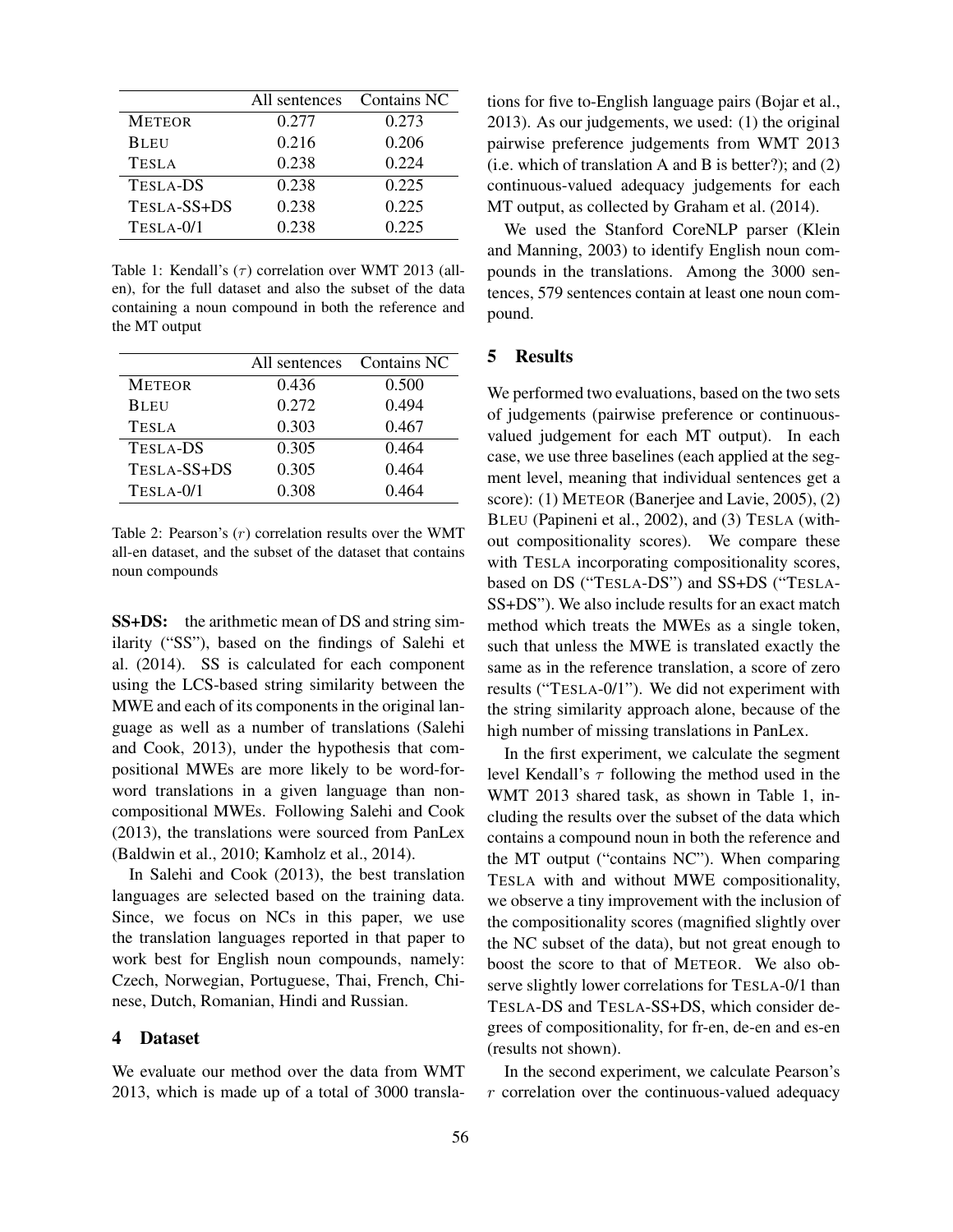|                 | All sentences | Contains NC |  |
|-----------------|---------------|-------------|--|
| <b>METEOR</b>   | 0.277         | 0.273       |  |
| <b>BLEU</b>     | 0.216         | 0.206       |  |
| <b>TESLA</b>    | 0.238         | 0.224       |  |
| <b>TESLA-DS</b> | 0.238         | 0.225       |  |
| TESLA-SS+DS     | 0.238         | 0.225       |  |
| TESLA-0/1       | 0.238         | 0.225       |  |

Table 1: Kendall's  $(\tau)$  correlation over WMT 2013 (allen), for the full dataset and also the subset of the data containing a noun compound in both the reference and the MT output

|                 | All sentences | Contains NC |  |
|-----------------|---------------|-------------|--|
| <b>METEOR</b>   | 0.436         | 0.500       |  |
| <b>BLEU</b>     | 0.272         | 0.494       |  |
| <b>TESLA</b>    | 0.303         | 0.467       |  |
| <b>TESLA-DS</b> | 0.305         | 0.464       |  |
| TESLA-SS+DS     | 0.305         | 0.464       |  |
| TESLA-0/1       | 0.308         | 0.464       |  |

Table 2: Pearson's  $(r)$  correlation results over the WMT all-en dataset, and the subset of the dataset that contains noun compounds

SS+DS: the arithmetic mean of DS and string similarity ("SS"), based on the findings of Salehi et al. (2014). SS is calculated for each component using the LCS-based string similarity between the MWE and each of its components in the original language as well as a number of translations (Salehi and Cook, 2013), under the hypothesis that compositional MWEs are more likely to be word-forword translations in a given language than noncompositional MWEs. Following Salehi and Cook (2013), the translations were sourced from PanLex (Baldwin et al., 2010; Kamholz et al., 2014).

In Salehi and Cook (2013), the best translation languages are selected based on the training data. Since, we focus on NCs in this paper, we use the translation languages reported in that paper to work best for English noun compounds, namely: Czech, Norwegian, Portuguese, Thai, French, Chinese, Dutch, Romanian, Hindi and Russian.

## 4 Dataset

We evaluate our method over the data from WMT 2013, which is made up of a total of 3000 translations for five to-English language pairs (Bojar et al., 2013). As our judgements, we used: (1) the original pairwise preference judgements from WMT 2013 (i.e. which of translation A and B is better?); and (2) continuous-valued adequacy judgements for each MT output, as collected by Graham et al. (2014).

We used the Stanford CoreNLP parser (Klein and Manning, 2003) to identify English noun compounds in the translations. Among the 3000 sentences, 579 sentences contain at least one noun compound.

#### 5 Results

We performed two evaluations, based on the two sets of judgements (pairwise preference or continuousvalued judgement for each MT output). In each case, we use three baselines (each applied at the segment level, meaning that individual sentences get a score): (1) METEOR (Banerjee and Lavie, 2005), (2) BLEU (Papineni et al., 2002), and (3) TESLA (without compositionality scores). We compare these with TESLA incorporating compositionality scores, based on DS ("TESLA-DS") and SS+DS ("TESLA-SS+DS"). We also include results for an exact match method which treats the MWEs as a single token, such that unless the MWE is translated exactly the same as in the reference translation, a score of zero results ("TESLA-0/1"). We did not experiment with the string similarity approach alone, because of the high number of missing translations in PanLex.

In the first experiment, we calculate the segment level Kendall's  $\tau$  following the method used in the WMT 2013 shared task, as shown in Table 1, including the results over the subset of the data which contains a compound noun in both the reference and the MT output ("contains NC"). When comparing TESLA with and without MWE compositionality, we observe a tiny improvement with the inclusion of the compositionality scores (magnified slightly over the NC subset of the data), but not great enough to boost the score to that of METEOR. We also observe slightly lower correlations for TESLA-0/1 than TESLA-DS and TESLA-SS+DS, which consider degrees of compositionality, for fr-en, de-en and es-en (results not shown).

In the second experiment, we calculate Pearson's r correlation over the continuous-valued adequacy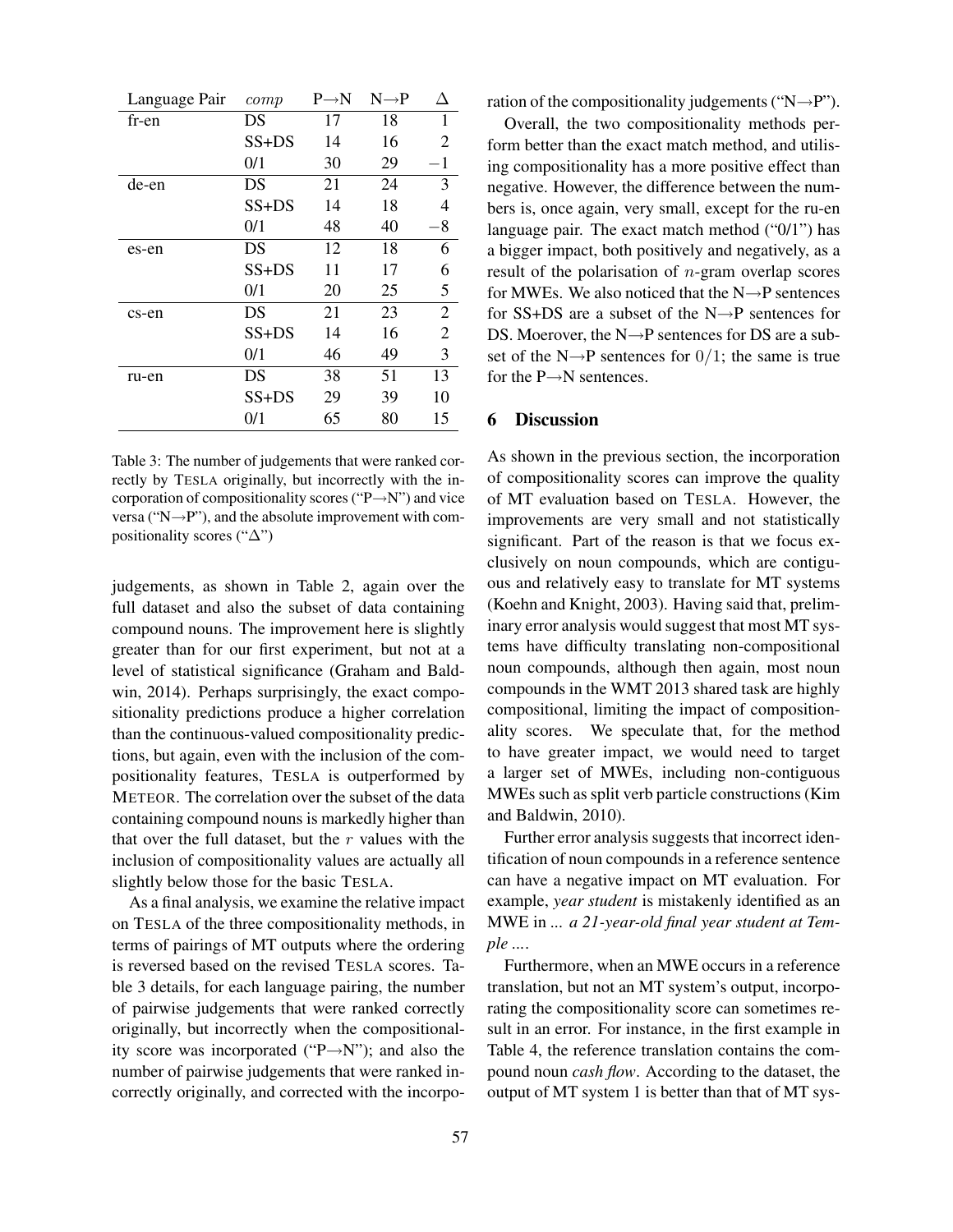| Language Pair | comp    | $P \rightarrow N$ | $N \rightarrow P$ | Δ              |
|---------------|---------|-------------------|-------------------|----------------|
| fr-en         | DS      | 17                | 18                | 1              |
|               | $SS+DS$ | 14                | 16                | 2              |
|               | 0/1     | 30                | 29                | $-1$           |
| de-en         | DS      | 21                | 24                | 3              |
|               | $SS+DS$ | 14                | 18                | 4              |
|               | 0/1     | 48                | 40                | -8             |
| es-en         | DS      | 12                | 18                | 6              |
|               | $SS+DS$ | 11                | 17                | 6              |
|               | 0/1     | 20                | 25                | 5              |
| cs-en         | DS      | 21                | 23                | $\overline{2}$ |
|               | $SS+DS$ | 14                | 16                | $\overline{2}$ |
|               | 0/1     | 46                | 49                | 3              |
| ru-en         | DS      | 38                | 51                | 13             |
|               | $SS+DS$ | 29                | 39                | 10             |
|               | 0/1     | 65                | 80                | 15             |

Table 3: The number of judgements that were ranked correctly by TESLA originally, but incorrectly with the incorporation of compositionality scores ("P→N") and vice versa ("N $\rightarrow$ P"), and the absolute improvement with compositionality scores ("∆")

judgements, as shown in Table 2, again over the full dataset and also the subset of data containing compound nouns. The improvement here is slightly greater than for our first experiment, but not at a level of statistical significance (Graham and Baldwin, 2014). Perhaps surprisingly, the exact compositionality predictions produce a higher correlation than the continuous-valued compositionality predictions, but again, even with the inclusion of the compositionality features, TESLA is outperformed by METEOR. The correlation over the subset of the data containing compound nouns is markedly higher than that over the full dataset, but the  $r$  values with the inclusion of compositionality values are actually all slightly below those for the basic TESLA.

As a final analysis, we examine the relative impact on TESLA of the three compositionality methods, in terms of pairings of MT outputs where the ordering is reversed based on the revised TESLA scores. Table 3 details, for each language pairing, the number of pairwise judgements that were ranked correctly originally, but incorrectly when the compositionality score was incorporated (" $P \rightarrow N$ "); and also the number of pairwise judgements that were ranked incorrectly originally, and corrected with the incorporation of the compositionality judgements ("N $\rightarrow$ P").

Overall, the two compositionality methods perform better than the exact match method, and utilising compositionality has a more positive effect than negative. However, the difference between the numbers is, once again, very small, except for the ru-en language pair. The exact match method ("0/1") has a bigger impact, both positively and negatively, as a result of the polarisation of  $n$ -gram overlap scores for MWEs. We also noticed that the  $N\rightarrow P$  sentences for  $SS+DS$  are a subset of the  $N\rightarrow P$  sentences for DS. Moerover, the N→P sentences for DS are a subset of the N $\rightarrow$ P sentences for 0/1; the same is true for the  $P \rightarrow N$  sentences.

# 6 Discussion

As shown in the previous section, the incorporation of compositionality scores can improve the quality of MT evaluation based on TESLA. However, the improvements are very small and not statistically significant. Part of the reason is that we focus exclusively on noun compounds, which are contiguous and relatively easy to translate for MT systems (Koehn and Knight, 2003). Having said that, preliminary error analysis would suggest that most MT systems have difficulty translating non-compositional noun compounds, although then again, most noun compounds in the WMT 2013 shared task are highly compositional, limiting the impact of compositionality scores. We speculate that, for the method to have greater impact, we would need to target a larger set of MWEs, including non-contiguous MWEs such as split verb particle constructions (Kim and Baldwin, 2010).

Further error analysis suggests that incorrect identification of noun compounds in a reference sentence can have a negative impact on MT evaluation. For example, *year student* is mistakenly identified as an MWE in *... a 21-year-old final year student at Temple ...*.

Furthermore, when an MWE occurs in a reference translation, but not an MT system's output, incorporating the compositionality score can sometimes result in an error. For instance, in the first example in Table 4, the reference translation contains the compound noun *cash flow*. According to the dataset, the output of MT system 1 is better than that of MT sys-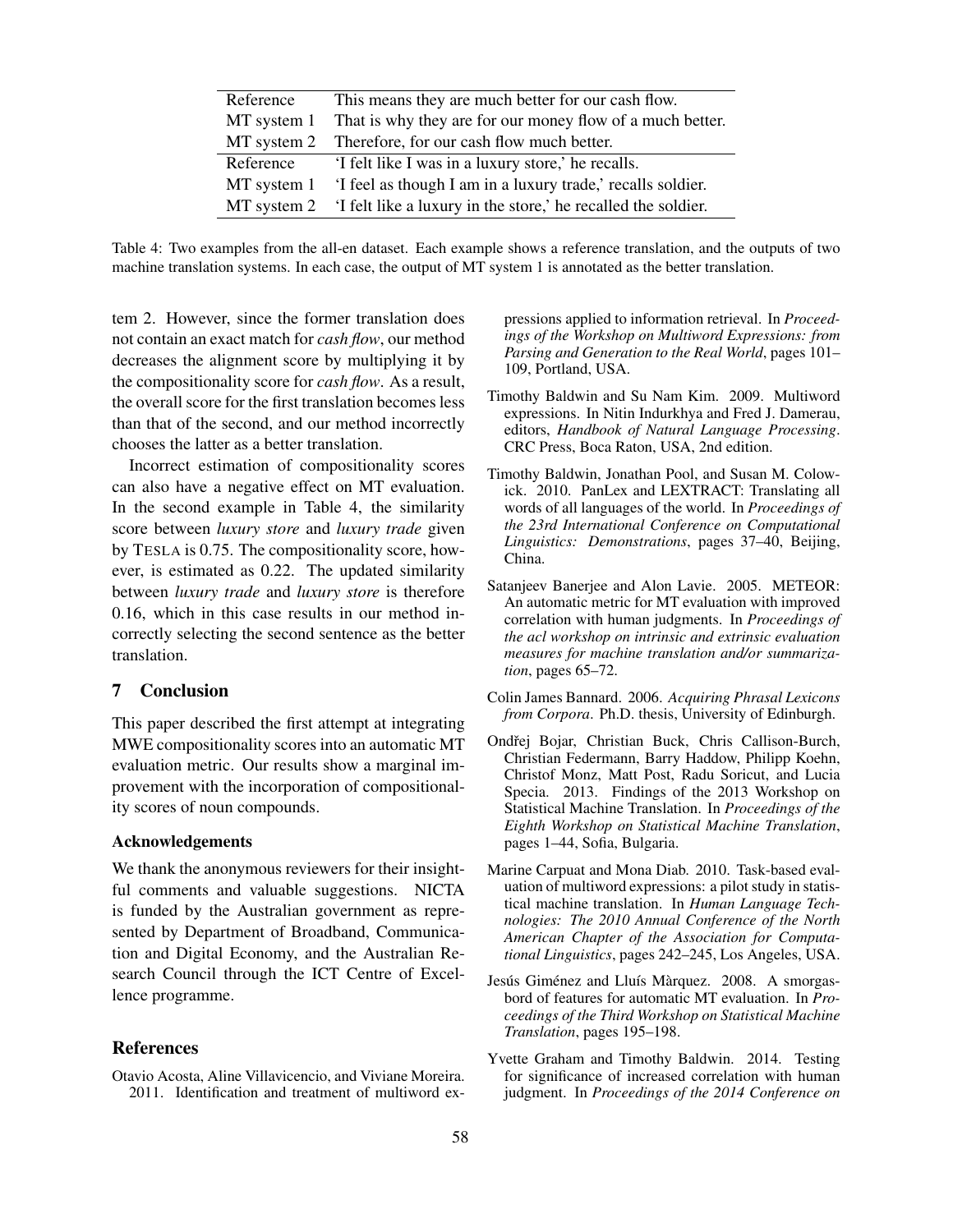| Reference   | This means they are much better for our cash flow.                        |
|-------------|---------------------------------------------------------------------------|
| MT system 1 | That is why they are for our money flow of a much better.                 |
|             | MT system 2 Therefore, for our cash flow much better.                     |
| Reference   | 'I felt like I was in a luxury store,' he recalls.                        |
| MT system 1 | 'I feel as though I am in a luxury trade,' recalls soldier.               |
|             | MT system 2 'I felt like a luxury in the store,' he recalled the soldier. |

Table 4: Two examples from the all-en dataset. Each example shows a reference translation, and the outputs of two machine translation systems. In each case, the output of MT system 1 is annotated as the better translation.

tem 2. However, since the former translation does not contain an exact match for *cash flow*, our method decreases the alignment score by multiplying it by the compositionality score for *cash flow*. As a result, the overall score for the first translation becomes less than that of the second, and our method incorrectly chooses the latter as a better translation.

Incorrect estimation of compositionality scores can also have a negative effect on MT evaluation. In the second example in Table 4, the similarity score between *luxury store* and *luxury trade* given by TESLA is 0.75. The compositionality score, however, is estimated as 0.22. The updated similarity between *luxury trade* and *luxury store* is therefore 0.16, which in this case results in our method incorrectly selecting the second sentence as the better translation.

## 7 Conclusion

This paper described the first attempt at integrating MWE compositionality scores into an automatic MT evaluation metric. Our results show a marginal improvement with the incorporation of compositionality scores of noun compounds.

#### Acknowledgements

We thank the anonymous reviewers for their insightful comments and valuable suggestions. NICTA is funded by the Australian government as represented by Department of Broadband, Communication and Digital Economy, and the Australian Research Council through the ICT Centre of Excellence programme.

# References

Otavio Acosta, Aline Villavicencio, and Viviane Moreira. 2011. Identification and treatment of multiword expressions applied to information retrieval. In *Proceedings of the Workshop on Multiword Expressions: from Parsing and Generation to the Real World*, pages 101– 109, Portland, USA.

- Timothy Baldwin and Su Nam Kim. 2009. Multiword expressions. In Nitin Indurkhya and Fred J. Damerau, editors, *Handbook of Natural Language Processing*. CRC Press, Boca Raton, USA, 2nd edition.
- Timothy Baldwin, Jonathan Pool, and Susan M. Colowick. 2010. PanLex and LEXTRACT: Translating all words of all languages of the world. In *Proceedings of the 23rd International Conference on Computational Linguistics: Demonstrations*, pages 37–40, Beijing, China.
- Satanjeev Banerjee and Alon Lavie. 2005. METEOR: An automatic metric for MT evaluation with improved correlation with human judgments. In *Proceedings of the acl workshop on intrinsic and extrinsic evaluation measures for machine translation and/or summarization*, pages 65–72.
- Colin James Bannard. 2006. *Acquiring Phrasal Lexicons from Corpora*. Ph.D. thesis, University of Edinburgh.
- Ondřej Bojar, Christian Buck, Chris Callison-Burch, Christian Federmann, Barry Haddow, Philipp Koehn, Christof Monz, Matt Post, Radu Soricut, and Lucia Specia. 2013. Findings of the 2013 Workshop on Statistical Machine Translation. In *Proceedings of the Eighth Workshop on Statistical Machine Translation*, pages 1–44, Sofia, Bulgaria.
- Marine Carpuat and Mona Diab. 2010. Task-based evaluation of multiword expressions: a pilot study in statistical machine translation. In *Human Language Technologies: The 2010 Annual Conference of the North American Chapter of the Association for Computational Linguistics*, pages 242–245, Los Angeles, USA.
- Jesús Giménez and Lluís Màrquez. 2008. A smorgasbord of features for automatic MT evaluation. In *Proceedings of the Third Workshop on Statistical Machine Translation*, pages 195–198.
- Yvette Graham and Timothy Baldwin. 2014. Testing for significance of increased correlation with human judgment. In *Proceedings of the 2014 Conference on*